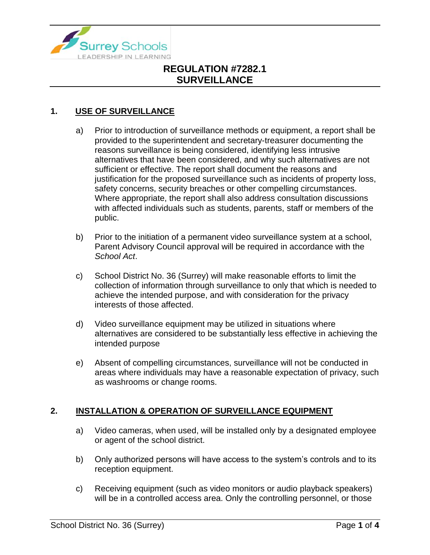

### **1. USE OF SURVEILLANCE**

- a) Prior to introduction of surveillance methods or equipment, a report shall be provided to the superintendent and secretary-treasurer documenting the reasons surveillance is being considered, identifying less intrusive alternatives that have been considered, and why such alternatives are not sufficient or effective. The report shall document the reasons and justification for the proposed surveillance such as incidents of property loss, safety concerns, security breaches or other compelling circumstances. Where appropriate, the report shall also address consultation discussions with affected individuals such as students, parents, staff or members of the public.
- b) Prior to the initiation of a permanent video surveillance system at a school, Parent Advisory Council approval will be required in accordance with the *School Act*.
- c) School District No. 36 (Surrey) will make reasonable efforts to limit the collection of information through surveillance to only that which is needed to achieve the intended purpose, and with consideration for the privacy interests of those affected.
- d) Video surveillance equipment may be utilized in situations where alternatives are considered to be substantially less effective in achieving the intended purpose
- e) Absent of compelling circumstances, surveillance will not be conducted in areas where individuals may have a reasonable expectation of privacy, such as washrooms or change rooms.

#### **2. INSTALLATION & OPERATION OF SURVEILLANCE EQUIPMENT**

- a) Video cameras, when used, will be installed only by a designated employee or agent of the school district.
- b) Only authorized persons will have access to the system's controls and to its reception equipment.
- c) Receiving equipment (such as video monitors or audio playback speakers) will be in a controlled access area. Only the controlling personnel, or those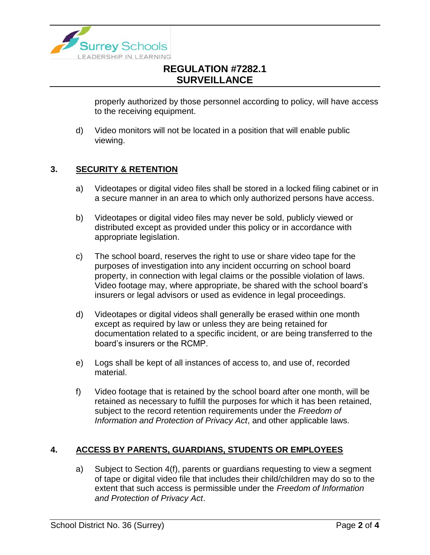

properly authorized by those personnel according to policy, will have access to the receiving equipment.

d) Video monitors will not be located in a position that will enable public viewing.

#### **3. SECURITY & RETENTION**

- a) Videotapes or digital video files shall be stored in a locked filing cabinet or in a secure manner in an area to which only authorized persons have access.
- b) Videotapes or digital video files may never be sold, publicly viewed or distributed except as provided under this policy or in accordance with appropriate legislation.
- c) The school board, reserves the right to use or share video tape for the purposes of investigation into any incident occurring on school board property, in connection with legal claims or the possible violation of laws. Video footage may, where appropriate, be shared with the school board's insurers or legal advisors or used as evidence in legal proceedings.
- d) Videotapes or digital videos shall generally be erased within one month except as required by law or unless they are being retained for documentation related to a specific incident, or are being transferred to the board's insurers or the RCMP.
- e) Logs shall be kept of all instances of access to, and use of, recorded material.
- f) Video footage that is retained by the school board after one month, will be retained as necessary to fulfill the purposes for which it has been retained, subject to the record retention requirements under the *Freedom of Information and Protection of Privacy Act*, and other applicable laws.

#### **4. ACCESS BY PARENTS, GUARDIANS, STUDENTS OR EMPLOYEES**

a) Subject to Section 4(f), parents or guardians requesting to view a segment of tape or digital video file that includes their child/children may do so to the extent that such access is permissible under the *Freedom of Information and Protection of Privacy Act*.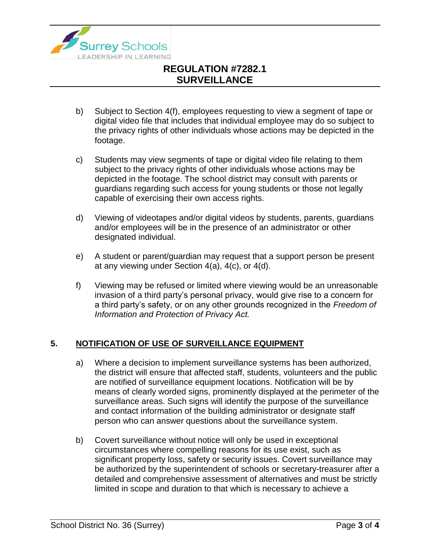

- b) Subject to Section 4(f), employees requesting to view a segment of tape or digital video file that includes that individual employee may do so subject to the privacy rights of other individuals whose actions may be depicted in the footage.
- c) Students may view segments of tape or digital video file relating to them subject to the privacy rights of other individuals whose actions may be depicted in the footage. The school district may consult with parents or guardians regarding such access for young students or those not legally capable of exercising their own access rights.
- d) Viewing of videotapes and/or digital videos by students, parents, guardians and/or employees will be in the presence of an administrator or other designated individual.
- e) A student or parent/guardian may request that a support person be present at any viewing under Section 4(a), 4(c), or 4(d).
- f) Viewing may be refused or limited where viewing would be an unreasonable invasion of a third party's personal privacy, would give rise to a concern for a third party's safety, or on any other grounds recognized in the *Freedom of Information and Protection of Privacy Act.*

### **5. NOTIFICATION OF USE OF SURVEILLANCE EQUIPMENT**

- a) Where a decision to implement surveillance systems has been authorized, the district will ensure that affected staff, students, volunteers and the public are notified of surveillance equipment locations. Notification will be by means of clearly worded signs, prominently displayed at the perimeter of the surveillance areas. Such signs will identify the purpose of the surveillance and contact information of the building administrator or designate staff person who can answer questions about the surveillance system.
- b) Covert surveillance without notice will only be used in exceptional circumstances where compelling reasons for its use exist, such as significant property loss, safety or security issues. Covert surveillance may be authorized by the superintendent of schools or secretary-treasurer after a detailed and comprehensive assessment of alternatives and must be strictly limited in scope and duration to that which is necessary to achieve a